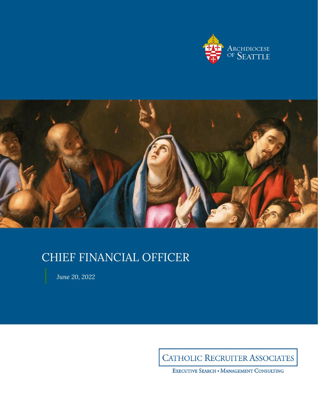



# CHIEF FINANCIAL OFFICER

*June 20, 2022*

**CATHOLIC RECRUITER ASSOCIATES** 

EXECUTIVE SEARCH . MANAGEMENT CONSULTING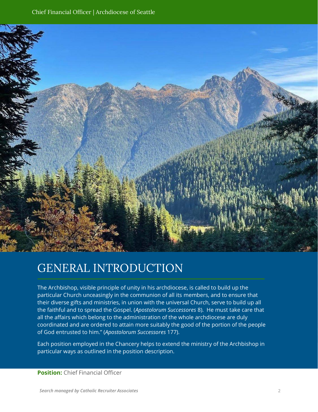

# GENERAL INTRODUCTION

The Archbishop, visible principle of unity in his archdiocese, is called to build up the particular Church unceasingly in the communion of all its members, and to ensure that their diverse gifts and ministries, in union with the universal Church, serve to build up all the faithful and to spread the Gospel. (*Apostolorum Successores* 8). He must take care that all the affairs which belong to the administration of the whole archdiocese are duly coordinated and are ordered to attain more suitably the good of the portion of the people of God entrusted to him." (*Apostolorum Successores* 177).

Each position employed in the Chancery helps to extend the ministry of the Archbishop in particular ways as outlined in the position description.

**Position:** Chief Financial Officer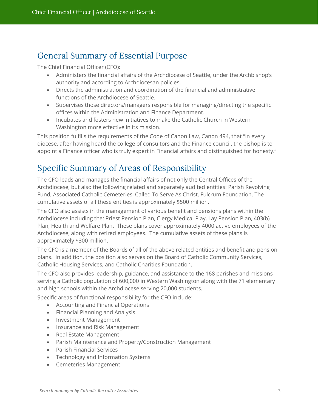## General Summary of Essential Purpose

The Chief Financial Officer (CFO):

- Administers the financial affairs of the Archdiocese of Seattle, under the Archbishop's authority and according to Archdiocesan policies.
- Directs the administration and coordination of the financial and administrative functions of the Archdiocese of Seattle.
- Supervises those directors/managers responsible for managing/directing the specific offices within the Administration and Finance Department.
- Incubates and fosters new initiatives to make the Catholic Church in Western Washington more effective in its mission.

This position fulfills the requirements of the Code of Canon Law, Canon 494, that "In every diocese, after having heard the college of consultors and the Finance council, the bishop is to appoint a Finance officer who is truly expert in Financial affairs and distinguished for honesty."

# Specific Summary of Areas of Responsibility

The CFO leads and manages the financial affairs of not only the Central Offices of the Archdiocese, but also the following related and separately audited entities: Parish Revolving Fund, Associated Catholic Cemeteries, Called To Serve As Christ, Fulcrum Foundation. The cumulative assets of all these entities is approximately \$500 million.

The CFO also assists in the management of various benefit and pensions plans within the Archdiocese including the: Priest Pension Plan, Clergy Medical Play, Lay Pension Plan, 403(b) Plan, Health and Welfare Plan. These plans cover approximately 4000 active employees of the Archdiocese, along with retired employees. The cumulative assets of these plans is approximately \$300 million.

The CFO is a member of the Boards of all of the above related entities and benefit and pension plans. In addition, the position also serves on the Board of Catholic Community Services, Catholic Housing Services, and Catholic Charities Foundation.

The CFO also provides leadership, guidance, and assistance to the 168 parishes and missions serving a Catholic population of 600,000 in Western Washington along with the 71 elementary and high schools within the Archdiocese serving 20,000 students.

Specific areas of functional responsibility for the CFO include:

- Accounting and Financial Operations
- Financial Planning and Analysis
- Investment Management
- Insurance and Risk Management
- Real Estate Management
- Parish Maintenance and Property/Construction Management
- Parish Financial Services
- Technology and Information Systems
- Cemeteries Management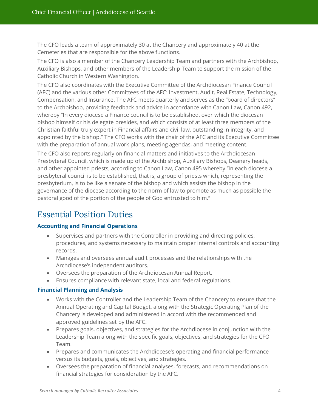The CFO leads a team of approximately 30 at the Chancery and approximately 40 at the Cemeteries that are responsible for the above functions.

The CFO is also a member of the Chancery Leadership Team and partners with the Archbishop, Auxiliary Bishops, and other members of the Leadership Team to support the mission of the Catholic Church in Western Washington.

The CFO also coordinates with the Executive Committee of the Archdiocesan Finance Council (AFC) and the various other Committees of the AFC: Investment, Audit, Real Estate, Technology, Compensation, and Insurance. The AFC meets quarterly and serves as the "board of directors" to the Archbishop, providing feedback and advice in accordance with Canon Law, Canon 492, whereby "In every diocese a Finance council is to be established, over which the diocesan bishop himself or his delegate presides, and which consists of at least three members of the Christian faithful truly expert in Financial affairs and civil law, outstanding in integrity, and appointed by the bishop." The CFO works with the chair of the AFC and its Executive Committee with the preparation of annual work plans, meeting agendas, and meeting content.

The CFO also reports regularly on financial matters and initiatives to the Archdiocesan Presbyteral Council, which is made up of the Archbishop, Auxiliary Bishops, Deanery heads, and other appointed priests, according to Canon Law, Canon 495 whereby "In each diocese a presbyteral council is to be established, that is, a group of priests which, representing the presbyterium, is to be like a senate of the bishop and which assists the bishop in the governance of the diocese according to the norm of law to promote as much as possible the pastoral good of the portion of the people of God entrusted to him."

# Essential Position Duties

#### **Accounting and Financial Operations**

- Supervises and partners with the Controller in providing and directing policies, procedures, and systems necessary to maintain proper internal controls and accounting records.
- Manages and oversees annual audit processes and the relationships with the Archdiocese's independent auditors.
- Oversees the preparation of the Archdiocesan Annual Report.
- Ensures compliance with relevant state, local and federal regulations.

#### **Financial Planning and Analysis**

- Works with the Controller and the Leadership Team of the Chancery to ensure that the Annual Operating and Capital Budget, along with the Strategic Operating Plan of the Chancery is developed and administered in accord with the recommended and approved guidelines set by the AFC.
- Prepares goals, objectives, and strategies for the Archdiocese in conjunction with the Leadership Team along with the specific goals, objectives, and strategies for the CFO Team.
- Prepares and communicates the Archdiocese's operating and financial performance versus its budgets, goals, objectives, and strategies.
- Oversees the preparation of financial analyses, forecasts, and recommendations on financial strategies for consideration by the AFC.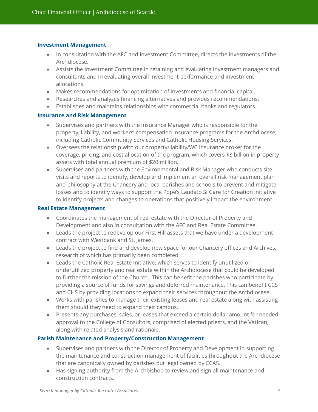#### **Investment Management**

- In consultation with the AFC and Investment Committee, directs the investments of the Archdiocese.
- Assists the Investment Committee in retaining and evaluating investment managers and consultants and in evaluating overall investment performance and investment allocations.
- Makes recommendations for optimization of investments and financial capital.
- Researches and analyzes financing alternatives and provides recommendations.
- Establishes and maintains relationships with commercial banks and regulators.

#### **Insurance and Risk Management**

- Supervises and partners with the Insurance Manager who is responsible for the property, liability, and workers' compensation insurance programs for the Archdiocese, including Catholic Community Services and Catholic Housing Services.
- Oversees the relationship with our property/liability/WC insurance broker for the coverage, pricing, and cost allocation of the program, which covers \$3 billion in property assets with total annual premium of \$20 million.
- Supervises and partners with the Environmental and Risk Manager who conducts site visits and reports to identify, develop and implement an overall risk management plan and philosophy at the Chancery and local parishes and schools to prevent and mitigate losses and to identify ways to support the Pope's Laudato Si Care for Creation initiative to identify projects and changes to operations that positively impact the environment.

#### **Real Estate Management**

- Coordinates the management of real estate with the Director of Property and Development and also in consultation with the AFC and Real Estate Committee.
- Leads the project to redevelop our First Hill assets that we have under a development contract with Westbank and St. James.
- Leads the project to find and develop new space for our Chancery offices and Archives, research of which has primarily been completed.
- Leads the Catholic Real Estate Initiative, which serves to identify unutilized or underutilized property and real estate within the Archdiocese that could be developed to further the mission of the Church. This can benefit the parishes who participate by providing a source of funds for savings and deferred maintenance. This can benefit CCS and CHS by providing locations to expand their services throughout the Archdiocese.
- Works with parishes to manage their existing leases and real estate along with assisting them should they need to expand their campus.
- Presents any purchases, sales, or leases that exceed a certain dollar amount for needed approval to the College of Consultors, comprised of elected priests, and the Vatican, along with related analysis and rationale.

#### **Parish Maintenance and Property/Construction Management**

- Supervises and partners with the Director of Property and Development in supporting the maintenance and construction management of facilities throughout the Archdiocese that are canonically owned by parishes but legal owned by CCAS.
- Has signing authority from the Archbishop to review and sign all maintenance and construction contracts.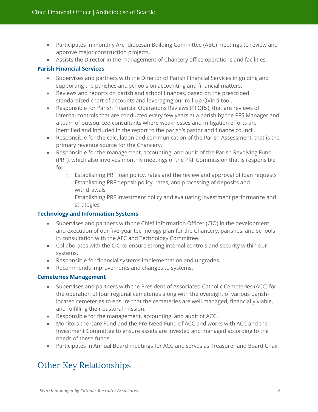- Participates in monthly Archdiocesan Building Committee (ABC) meetings to review and approve major construction projects.
- Assists the Director in the management of Chancery office operations and facilities.

#### **Parish Financial Services**

- Supervises and partners with the Director of Parish Financial Services in guiding and supporting the parishes and schools on accounting and financial matters.
- Reviews and reports on parish and school finances, based on the prescribed standardized chart of accounts and leveraging our roll-up QVinci tool.
- Responsible for Parish Financial Operations Reviews (PFORs), that are reviews of internal controls that are conducted every few years at a parish by the PFS Manager and a team of outsourced consultants where weaknesses and mitigation efforts are identified and included in the report to the parish's pastor and finance council.
- Responsible for the calculation and communication of the Parish Assessment, that is the primary revenue source for the Chancery.
- Responsible for the management, accounting, and audit of the Parish Revolving Fund (PRF), which also involves monthly meetings of the PRF Commission that is responsible for:
	- o Establishing PRF loan policy, rates and the review and approval of loan requests
	- o Establishing PRF deposit policy, rates, and processing of deposits and withdrawals
	- o Establishing PRF investment policy and evaluating investment performance and strategies

#### **Technology and Information Systems**

- Supervises and partners with the Chief Information Officer (CIO) in the development and execution of our five-year technology plan for the Chancery, parishes, and schools in consultation with the AFC and Technology Committee.
- Collaborates with the CIO to ensure strong internal controls and security within our systems.
- Responsible for financial systems implementation and upgrades.
- Recommends improvements and changes to systems.

#### **Cemeteries Management**

- Supervises and partners with the President of Associated Catholic Cemeteries (ACC) for the operation of four regional cemeteries along with the oversight of various parishlocated cemeteries to ensure that the cemeteries are well managed, financially viable, and fulfilling their pastoral mission.
- Responsible for the management, accounting, and audit of ACC.
- Monitors the Care Fund and the Pre-Need Fund of ACC and works with ACC and the Investment Committee to ensure assets are invested and managed according to the needs of these funds.
- Participates in Annual Board meetings for ACC and serves as Treasurer and Board Chair.

# Other Key Relationships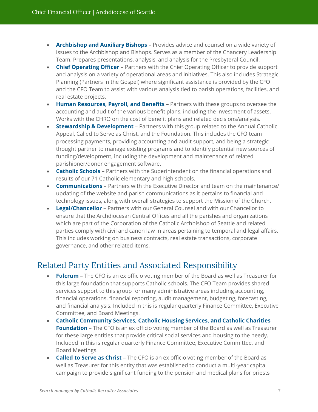- **Archbishop and Auxiliary Bishops** Provides advice and counsel on a wide variety of issues to the Archbishop and Bishops. Serves as a member of the Chancery Leadership Team. Prepares presentations, analysis, and analysis for the Presbyteral Council.
- **Chief Operating Officer** Partners with the Chief Operating Officer to provide support and analysis on a variety of operational areas and initiatives. This also includes Strategic Planning (Partners in the Gospel) where significant assistance is provided by the CFO and the CFO Team to assist with various analysis tied to parish operations, facilities, and real estate projects.
- **Human Resources, Payroll, and Benefits** Partners with these groups to oversee the accounting and audit of the various benefit plans, including the investment of assets. Works with the CHRO on the cost of benefit plans and related decisions/analysis.
- **Stewardship & Development** Partners with this group related to the Annual Catholic Appeal, Called to Serve as Christ, and the Foundation. This includes the CFO team processing payments, providing accounting and audit support, and being a strategic thought partner to manage existing programs and to identify potential new sources of funding/development, including the development and maintenance of related parishioner/donor engagement software.
- **Catholic Schools** Partners with the Superintendent on the financial operations and results of our 71 Catholic elementary and high schools.
- **Communications** Partners with the Executive Director and team on the maintenance/ updating of the website and parish communications as it pertains to financial and technology issues, along with overall strategies to support the Mission of the Church.
- **Legal/Chancellor** Partners with our General Counsel and with our Chancellor to ensure that the Archdiocesan Central Offices and all the parishes and organizations which are part of the Corporation of the Catholic Archbishop of Seattle and related parties comply with civil and canon law in areas pertaining to temporal and legal affairs. This includes working on business contracts, real estate transactions, corporate governance, and other related items.

### Related Party Entities and Associated Responsibility

- **Fulcrum** The CFO is an ex officio voting member of the Board as well as Treasurer for this large foundation that supports Catholic schools. The CFO Team provides shared services support to this group for many administrative areas including accounting, financial operations, financial reporting, audit management, budgeting, forecasting, and financial analysis. Included in this is regular quarterly Finance Committee, Executive Committee, and Board Meetings.
- **Catholic Community Services, Catholic Housing Services, and Catholic Charities Foundation** – The CFO is an ex officio voting member of the Board as well as Treasurer for these large entities that provide critical social services and housing to the needy. Included in this is regular quarterly Finance Committee, Executive Committee, and Board Meetings.
- **Called to Serve as Christ** The CFO is an ex officio voting member of the Board as well as Treasurer for this entity that was established to conduct a multi-year capital campaign to provide significant funding to the pension and medical plans for priests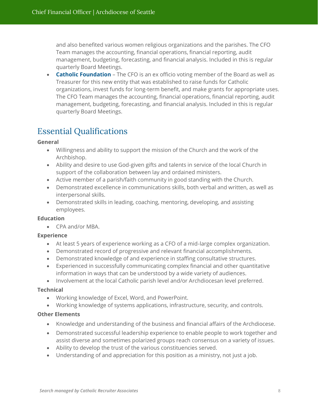and also benefited various women religious organizations and the parishes. The CFO Team manages the accounting, financial operations, financial reporting, audit management, budgeting, forecasting, and financial analysis. Included in this is regular quarterly Board Meetings.

• **Catholic Foundation** – The CFO is an ex officio voting member of the Board as well as Treasurer for this new entity that was established to raise funds for Catholic organizations, invest funds for long-term benefit, and make grants for appropriate uses. The CFO Team manages the accounting, financial operations, financial reporting, audit management, budgeting, forecasting, and financial analysis. Included in this is regular quarterly Board Meetings.

# Essential Qualifications

#### **General**

- Willingness and ability to support the mission of the Church and the work of the Archbishop.
- Ability and desire to use God-given gifts and talents in service of the local Church in support of the collaboration between lay and ordained ministers.
- Active member of a parish/faith community in good standing with the Church.
- Demonstrated excellence in communications skills, both verbal and written, as well as interpersonal skills.
- Demonstrated skills in leading, coaching, mentoring, developing, and assisting employees.

#### **Education**

• CPA and/or MBA.

#### **Experience**

- At least 5 years of experience working as a CFO of a mid-large complex organization.
- Demonstrated record of progressive and relevant financial accomplishments.
- Demonstrated knowledge of and experience in staffing consultative structures.
- Experienced in successfully communicating complex financial and other quantitative information in ways that can be understood by a wide variety of audiences.
- Involvement at the local Catholic parish level and/or Archdiocesan level preferred.

#### **Technical**

- Working knowledge of Excel, Word, and PowerPoint.
- Working knowledge of systems applications, infrastructure, security, and controls.

#### **Other Elements**

- Knowledge and understanding of the business and financial affairs of the Archdiocese.
- Demonstrated successful leadership experience to enable people to work together and assist diverse and sometimes polarized groups reach consensus on a variety of issues.
- Ability to develop the trust of the various constituencies served.
- Understanding of and appreciation for this position as a ministry, not just a job.